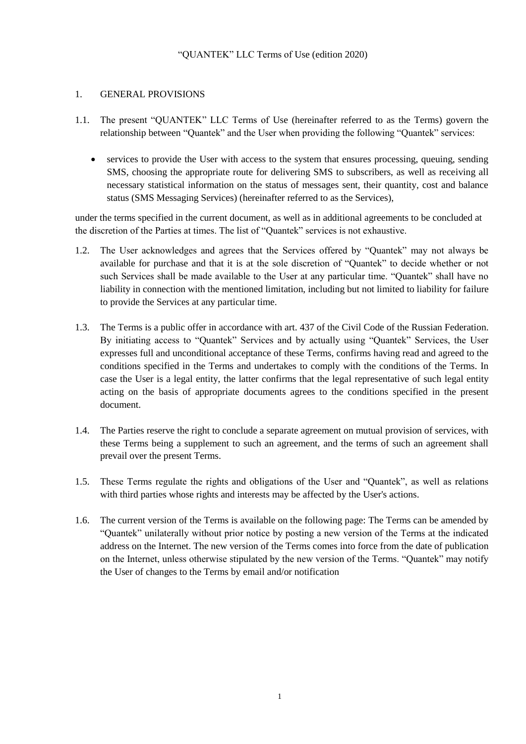# "QUANTEK" LLC Terms of Use (edition 2020)

# 1. GENERAL PROVISIONS

- 1.1. The present "QUANTEK" LLC Terms of Use (hereinafter referred to as the Terms) govern the relationship between "Quantek" and the User when providing the following "Quantek" services:
	- services to provide the User with access to the system that ensures processing, queuing, sending SMS, choosing the appropriate route for delivering SMS to subscribers, as well as receiving all necessary statistical information on the status of messages sent, their quantity, cost and balance status (SMS Messaging Services) (hereinafter referred to as the Services),

under the terms specified in the current document, as well as in additional agreements to be concluded at the discretion of the Parties at times. The list of "Quantek" services is not exhaustive.

- 1.2. The User acknowledges and agrees that the Services offered by "Quantek" may not always be available for purchase and that it is at the sole discretion of "Quantek" to decide whether or not such Services shall be made available to the User at any particular time. "Quantek" shall have no liability in connection with the mentioned limitation, including but not limited to liability for failure to provide the Services at any particular time.
- 1.3. The Terms is a public offer in accordance with art. 437 of the Civil Code of the Russian Federation. By initiating access to "Quantek" Services and by actually using "Quantek" Services, the User expresses full and unconditional acceptance of these Terms, confirms having read and agreed to the conditions specified in the Terms and undertakes to comply with the conditions of the Terms. In case the User is a legal entity, the latter confirms that the legal representative of such legal entity acting on the basis of appropriate documents agrees to the conditions specified in the present document.
- 1.4. The Parties reserve the right to conclude a separate agreement on mutual provision of services, with these Terms being a supplement to such an agreement, and the terms of such an agreement shall prevail over the present Terms.
- 1.5. These Terms regulate the rights and obligations of the User and "Quantek", as well as relations with third parties whose rights and interests may be affected by the User's actions.
- 1.6. The current version of the Terms is available on the following page: The Terms can be amended by "Quantek" unilaterally without prior notice by posting a new version of the Terms at the indicated address on the Internet. The new version of the Terms comes into force from the date of publication on the Internet, unless otherwise stipulated by the new version of the Terms. "Quantek" may notify the User of changes to the Terms by email and/or notification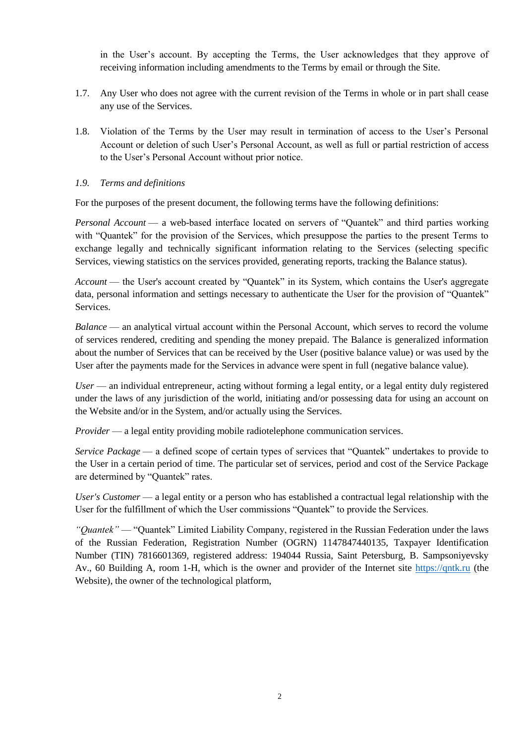in the User's account. By accepting the Terms, the User acknowledges that they approve of receiving information including amendments to the Terms by email or through the Site.

- 1.7. Any User who does not agree with the current revision of the Terms in whole or in part shall cease any use of the Services.
- 1.8. Violation of the Terms by the User may result in termination of access to the User's Personal Account or deletion of such User's Personal Account, as well as full or partial restriction of access to the User's Personal Account without prior notice.

#### *1.9. Terms and definitions*

For the purposes of the present document, the following terms have the following definitions:

*Personal Account* — a web-based interface located on servers of "Quantek" and third parties working with "Quantek" for the provision of the Services, which presuppose the parties to the present Terms to exchange legally and technically significant information relating to the Services (selecting specific Services, viewing statistics on the services provided, generating reports, tracking the Balance status).

*Account* — the User's account created by "Quantek" in its System, which contains the User's aggregate data, personal information and settings necessary to authenticate the User for the provision of "Quantek" Services.

*Balance* — an analytical virtual account within the Personal Account, which serves to record the volume of services rendered, crediting and spending the money prepaid. The Balance is generalized information about the number of Services that can be received by the User (positive balance value) or was used by the User after the payments made for the Services in advance were spent in full (negative balance value).

*User* — an individual entrepreneur, acting without forming a legal entity, or a legal entity duly registered under the laws of any jurisdiction of the world, initiating and/or possessing data for using an account on the Website and/or in the System, and/or actually using the Services.

*Provider* — a legal entity providing mobile radiotelephone communication services.

*Service Package* — a defined scope of certain types of services that "Quantek" undertakes to provide to the User in a certain period of time. The particular set of services, period and cost of the Service Package are determined by "Quantek" rates.

*User's Customer* — a legal entity or a person who has established a contractual legal relationship with the User for the fulfillment of which the User commissions "Quantek" to provide the Services.

*"Quantek"* — "Quantek" Limited Liability Company, registered in the Russian Federation under the laws of the Russian Federation, Registration Number (OGRN) 1147847440135, Taxpayer Identification Number (TIN) 7816601369, registered address: 194044 Russia, Saint Petersburg, B. Sampsoniyevsky Av., 60 Building A, room 1-H, which is the owner and provider of the Internet site [https://qntk.ru](https://qntk.ru/) (the Website), the owner of the technological platform,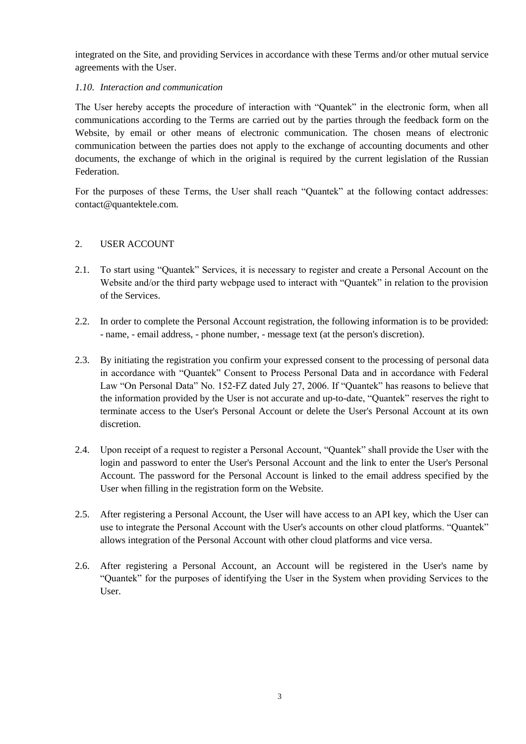integrated on the Site, and providing Services in accordance with these Terms and/or other mutual service agreements with the User.

#### *1.10. Interaction and communication*

The User hereby accepts the procedure of interaction with "Quantek" in the electronic form, when all communications according to the Terms are carried out by the parties through the feedback form on the Website, by email or other means of electronic communication. The chosen means of electronic communication between the parties does not apply to the exchange of accounting documents and other documents, the exchange of which in the original is required by the current legislation of the Russian Federation.

For the purposes of these Terms, the User shall reach "Quantek" at the following contact addresses: [contact@quantektele.com.](mailto:contact@quantektele.com)

#### 2. USER ACCOUNT

- 2.1. To start using "Quantek" Services, it is necessary to register and create a Personal Account on the Website and/or the third party webpage used to interact with "Quantek" in relation to the provision of the Services.
- 2.2. In order to complete the Personal Account registration, the following information is to be provided: - name, - email address, - phone number, - message text (at the person's discretion).
- 2.3. By initiating the registration you confirm your expressed consent to the processing of personal data in accordance with "Quantek" Consent to Process Personal Data and in accordance with Federal Law "On Personal Data" No. 152-FZ dated July 27, 2006. If "Quantek" has reasons to believe that the information provided by the User is not accurate and up-to-date, "Quantek" reserves the right to terminate access to the User's Personal Account or delete the User's Personal Account at its own discretion.
- 2.4. Upon receipt of a request to register a Personal Account, "Quantek" shall provide the User with the login and password to enter the User's Personal Account and the link to enter the User's Personal Account. The password for the Personal Account is linked to the email address specified by the User when filling in the registration form on the Website.
- 2.5. After registering a Personal Account, the User will have access to an API key, which the User can use to integrate the Personal Account with the User's accounts on other cloud platforms. "Quantek" allows integration of the Personal Account with other cloud platforms and vice versa.
- 2.6. After registering a Personal Account, an Account will be registered in the User's name by "Quantek" for the purposes of identifying the User in the System when providing Services to the User.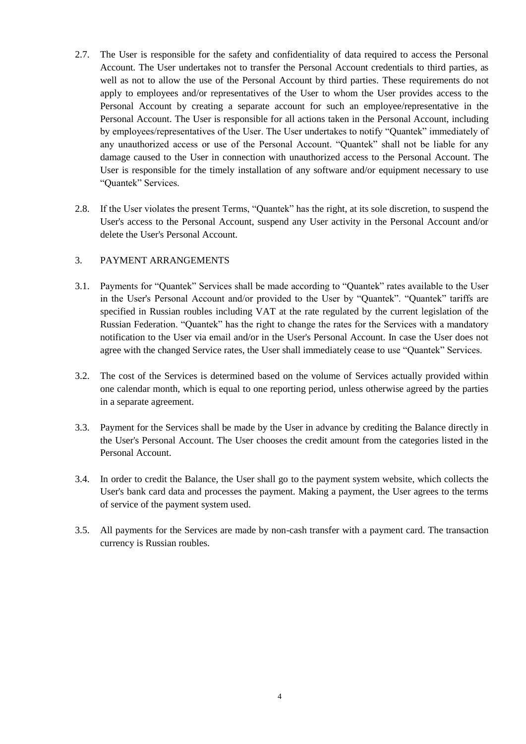- 2.7. The User is responsible for the safety and confidentiality of data required to access the Personal Account. The User undertakes not to transfer the Personal Account credentials to third parties, as well as not to allow the use of the Personal Account by third parties. These requirements do not apply to employees and/or representatives of the User to whom the User provides access to the Personal Account by creating a separate account for such an employee/representative in the Personal Account. The User is responsible for all actions taken in the Personal Account, including by employees/representatives of the User. The User undertakes to notify "Quantek" immediately of any unauthorized access or use of the Personal Account. "Quantek" shall not be liable for any damage caused to the User in connection with unauthorized access to the Personal Account. The User is responsible for the timely installation of any software and/or equipment necessary to use "Quantek" Services.
- 2.8. If the User violates the present Terms, "Quantek" has the right, at its sole discretion, to suspend the User's access to the Personal Account, suspend any User activity in the Personal Account and/or delete the User's Personal Account.

#### 3. PAYMENT ARRANGEMENTS

- 3.1. Payments for "Quantek" Services shall be made according to "Quantek" rates available to the User in the User's Personal Account and/or provided to the User by "Quantek". "Quantek" tariffs are specified in Russian roubles including VAT at the rate regulated by the current legislation of the Russian Federation. "Quantek" has the right to change the rates for the Services with a mandatory notification to the User via email and/or in the User's Personal Account. In case the User does not agree with the changed Service rates, the User shall immediately cease to use "Quantek" Services.
- 3.2. The cost of the Services is determined based on the volume of Services actually provided within one calendar month, which is equal to one reporting period, unless otherwise agreed by the parties in a separate agreement.
- 3.3. Payment for the Services shall be made by the User in advance by crediting the Balance directly in the User's Personal Account. The User chooses the credit amount from the categories listed in the Personal Account.
- 3.4. In order to credit the Balance, the User shall go to the payment system website, which collects the User's bank card data and processes the payment. Making a payment, the User agrees to the terms of service of the payment system used.
- 3.5. All payments for the Services are made by non-cash transfer with a payment card. The transaction currency is Russian roubles.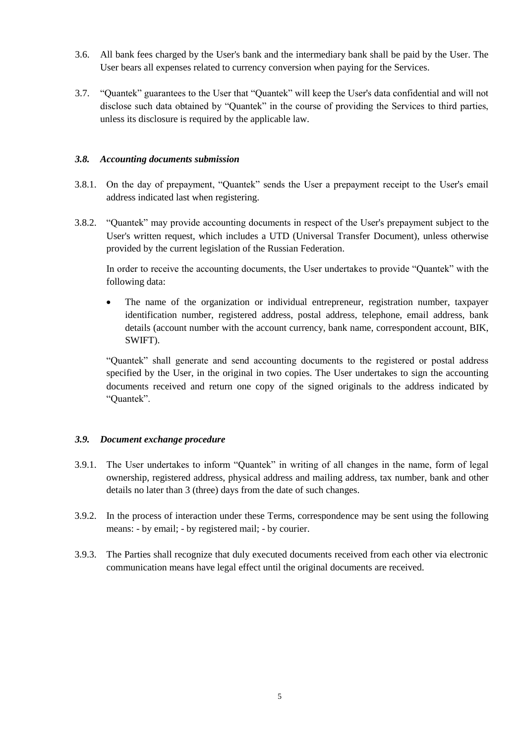- 3.6. All bank fees charged by the User's bank and the intermediary bank shall be paid by the User. The User bears all expenses related to currency conversion when paying for the Services.
- 3.7. "Quantek" guarantees to the User that "Quantek" will keep the User's data confidential and will not disclose such data obtained by "Quantek" in the course of providing the Services to third parties, unless its disclosure is required by the applicable law.

#### *3.8. Accounting documents submission*

- 3.8.1. On the day of prepayment, "Quantek" sends the User a prepayment receipt to the User's email address indicated last when registering.
- 3.8.2. "Quantek" may provide accounting documents in respect of the User's prepayment subject to the User's written request, which includes a UTD (Universal Transfer Document), unless otherwise provided by the current legislation of the Russian Federation.

In order to receive the accounting documents, the User undertakes to provide "Quantek" with the following data:

 The name of the organization or individual entrepreneur, registration number, taxpayer identification number, registered address, postal address, telephone, email address, bank details (account number with the account currency, bank name, correspondent account, BIK, SWIFT).

"Quantek" shall generate and send accounting documents to the registered or postal address specified by the User, in the original in two copies. The User undertakes to sign the accounting documents received and return one copy of the signed originals to the address indicated by "Quantek".

# *3.9. Document exchange procedure*

- 3.9.1. The User undertakes to inform "Quantek" in writing of all changes in the name, form of legal ownership, registered address, physical address and mailing address, tax number, bank and other details no later than 3 (three) days from the date of such changes.
- 3.9.2. In the process of interaction under these Terms, correspondence may be sent using the following means: - by email; - by registered mail; - by courier.
- 3.9.3. The Parties shall recognize that duly executed documents received from each other via electronic communication means have legal effect until the original documents are received.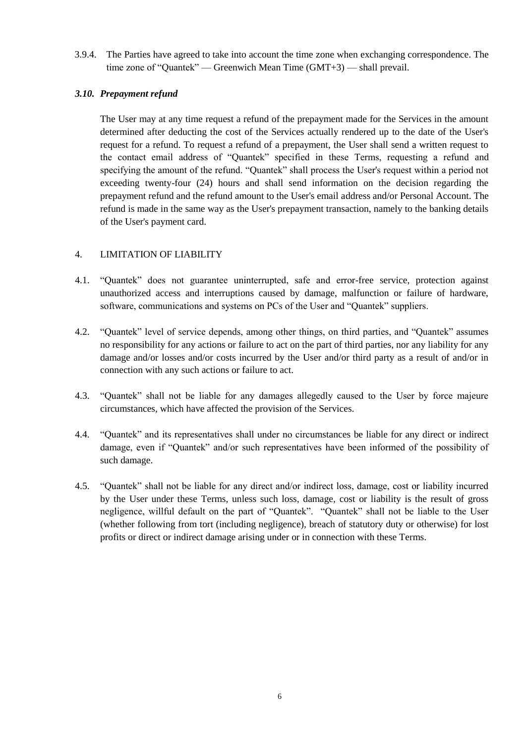3.9.4. The Parties have agreed to take into account the time zone when exchanging correspondence. The time zone of "Quantek" — Greenwich Mean Time (GMT+3) — shall prevail.

# *3.10. Prepayment refund*

The User may at any time request a refund of the prepayment made for the Services in the amount determined after deducting the cost of the Services actually rendered up to the date of the User's request for a refund. To request a refund of a prepayment, the User shall send a written request to the contact email address of "Quantek" specified in these Terms, requesting a refund and specifying the amount of the refund. "Quantek" shall process the User's request within a period not exceeding twenty-four (24) hours and shall send information on the decision regarding the prepayment refund and the refund amount to the User's email address and/or Personal Account. The refund is made in the same way as the User's prepayment transaction, namely to the banking details of the User's payment card.

# 4. LIMITATION OF LIABILITY

- 4.1. "Quantek" does not guarantee uninterrupted, safe and error-free service, protection against unauthorized access and interruptions caused by damage, malfunction or failure of hardware, software, communications and systems on PCs of the User and "Quantek" suppliers.
- 4.2. "Quantek" level of service depends, among other things, on third parties, and "Quantek" assumes no responsibility for any actions or failure to act on the part of third parties, nor any liability for any damage and/or losses and/or costs incurred by the User and/or third party as a result of and/or in connection with any such actions or failure to act.
- 4.3. "Quantek" shall not be liable for any damages allegedly caused to the User by force majeure circumstances, which have affected the provision of the Services.
- 4.4. "Quantek" and its representatives shall under no circumstances be liable for any direct or indirect damage, even if "Quantek" and/or such representatives have been informed of the possibility of such damage.
- 4.5. "Quantek" shall not be liable for any direct and/or indirect loss, damage, cost or liability incurred by the User under these Terms, unless such loss, damage, cost or liability is the result of gross negligence, willful default on the part of "Quantek". "Quantek" shall not be liable to the User (whether following from tort (including negligence), breach of statutory duty or otherwise) for lost profits or direct or indirect damage arising under or in connection with these Terms.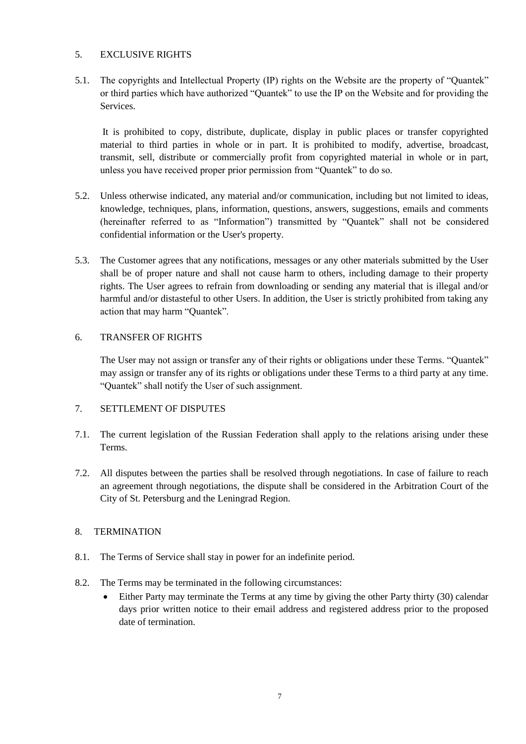#### 5. EXCLUSIVE RIGHTS

5.1. The copyrights and Intellectual Property (IP) rights on the Website are the property of "Quantek" or third parties which have authorized "Quantek" to use the IP on the Website and for providing the Services.

It is prohibited to copy, distribute, duplicate, display in public places or transfer copyrighted material to third parties in whole or in part. It is prohibited to modify, advertise, broadcast, transmit, sell, distribute or commercially profit from copyrighted material in whole or in part, unless you have received proper prior permission from "Quantek" to do so.

- 5.2. Unless otherwise indicated, any material and/or communication, including but not limited to ideas, knowledge, techniques, plans, information, questions, answers, suggestions, emails and comments (hereinafter referred to as "Information") transmitted by "Quantek" shall not be considered confidential information or the User's property.
- 5.3. The Customer agrees that any notifications, messages or any other materials submitted by the User shall be of proper nature and shall not cause harm to others, including damage to their property rights. The User agrees to refrain from downloading or sending any material that is illegal and/or harmful and/or distasteful to other Users. In addition, the User is strictly prohibited from taking any action that may harm "Quantek".

#### 6. TRANSFER OF RIGHTS

The User may not assign or transfer any of their rights or obligations under these Terms. "Quantek" may assign or transfer any of its rights or obligations under these Terms to a third party at any time. "Quantek" shall notify the User of such assignment.

# 7. SETTLEMENT OF DISPUTES

- 7.1. The current legislation of the Russian Federation shall apply to the relations arising under these Terms.
- 7.2. All disputes between the parties shall be resolved through negotiations. In case of failure to reach an agreement through negotiations, the dispute shall be considered in the Arbitration Court of the City of St. Petersburg and the Leningrad Region.

# 8. TERMINATION

- 8.1. The Terms of Service shall stay in power for an indefinite period.
- 8.2. The Terms may be terminated in the following circumstances:
	- Either Party may terminate the Terms at any time by giving the other Party thirty (30) calendar days prior written notice to their email address and registered address prior to the proposed date of termination.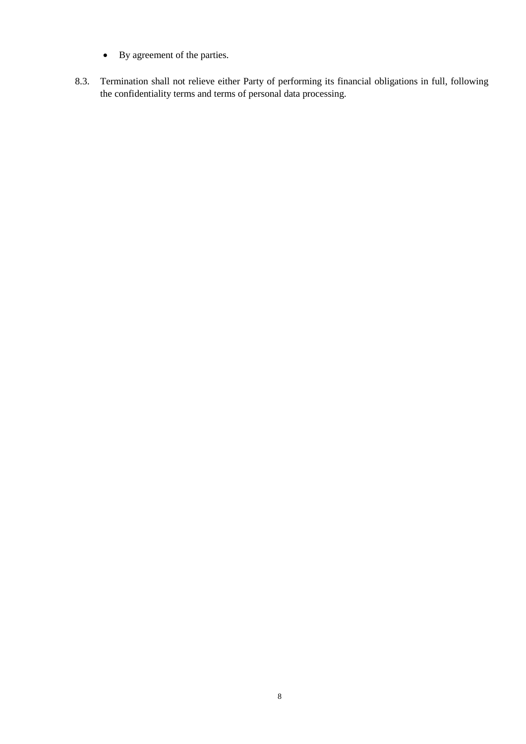- By agreement of the parties.
- 8.3. Termination shall not relieve either Party of performing its financial obligations in full, following the confidentiality terms and terms of personal data processing.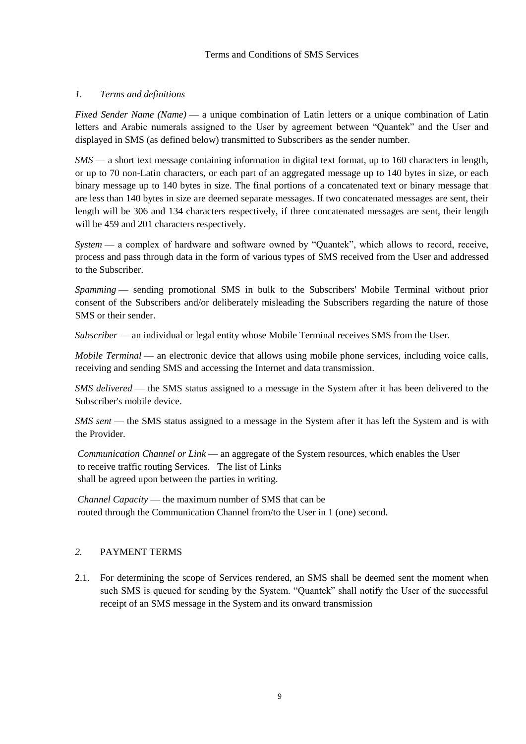# *1. Terms and definitions*

*Fixed Sender Name (Name)* — a unique combination of Latin letters or a unique combination of Latin letters and Arabic numerals assigned to the User by agreement between "Quantek" and the User and displayed in SMS (as defined below) transmitted to Subscribers as the sender number.

*SMS* — a short text message containing information in digital text format, up to 160 characters in length, or up to 70 non-Latin characters, or each part of an aggregated message up to 140 bytes in size, or each binary message up to 140 bytes in size. The final portions of a concatenated text or binary message that are less than 140 bytes in size are deemed separate messages. If two concatenated messages are sent, their length will be 306 and 134 characters respectively, if three concatenated messages are sent, their length will be 459 and 201 characters respectively.

*System* — a complex of hardware and software owned by "Quantek", which allows to record, receive, process and pass through data in the form of various types of SMS received from the User and addressed to the Subscriber.

*Spamming* — sending promotional SMS in bulk to the Subscribers' Mobile Terminal without prior consent of the Subscribers and/or deliberately misleading the Subscribers regarding the nature of those SMS or their sender.

*Subscriber* — an individual or legal entity whose Mobile Terminal receives SMS from the User.

*Mobile Terminal* — an electronic device that allows using mobile phone services, including voice calls, receiving and sending SMS and accessing the Internet and data transmission.

*SMS delivered* — the SMS status assigned to a message in the System after it has been delivered to the Subscriber's mobile device.

*SMS sent* — the SMS status assigned to a message in the System after it has left the System and is with the Provider.

*Communication Channel or Link* — an aggregate of the System resources, which enables the User to receive traffic routing Services. The list of Links shall be agreed upon between the parties in writing.

*Channel Capacity* — the maximum number of SMS that can be routed through the Communication Channel from/to the User in 1 (one) second.

# *2.* PAYMENT TERMS

2.1. For determining the scope of Services rendered, an SMS shall be deemed sent the moment when such SMS is queued for sending by the System. "Quantek" shall notify the User of the successful receipt of an SMS message in the System and its onward transmission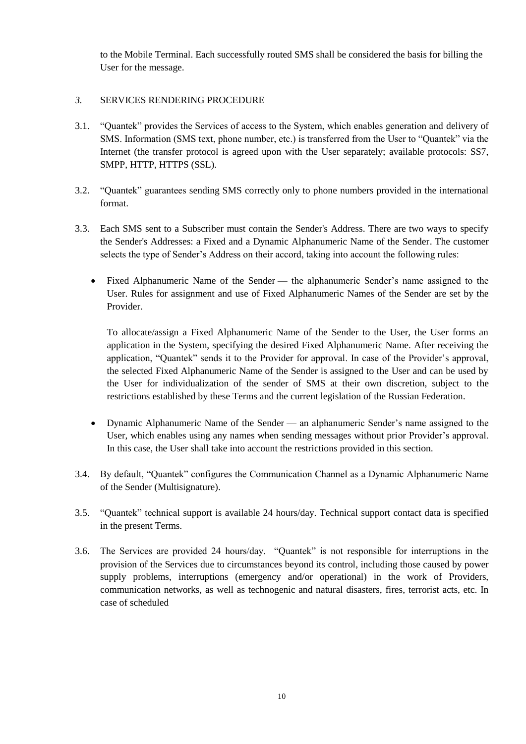to the Mobile Terminal. Each successfully routed SMS shall be considered the basis for billing the User for the message.

#### *3.* SERVICES RENDERING PROCEDURE

- 3.1. "Quantek" provides the Services of access to the System, which enables generation and delivery of SMS. Information (SMS text, phone number, etc.) is transferred from the User to "Quantek" via the Internet (the transfer protocol is agreed upon with the User separately; available protocols: SS7, SMPP, HTTP, HTTPS (SSL).
- 3.2. "Quantek" guarantees sending SMS correctly only to phone numbers provided in the international format.
- 3.3. Each SMS sent to a Subscriber must contain the Sender's Address. There are two ways to specify the Sender's Addresses: a Fixed and a Dynamic Alphanumeric Name of the Sender. The customer selects the type of Sender's Address on their accord, taking into account the following rules:
	- Fixed Alphanumeric Name of the Sender the alphanumeric Sender's name assigned to the User. Rules for assignment and use of Fixed Alphanumeric Names of the Sender are set by the Provider.

To allocate/assign a Fixed Alphanumeric Name of the Sender to the User, the User forms an application in the System, specifying the desired Fixed Alphanumeric Name. After receiving the application, "Quantek" sends it to the Provider for approval. In case of the Provider's approval, the selected Fixed Alphanumeric Name of the Sender is assigned to the User and can be used by the User for individualization of the sender of SMS at their own discretion, subject to the restrictions established by these Terms and the current legislation of the Russian Federation.

- Dynamic Alphanumeric Name of the Sender an alphanumeric Sender's name assigned to the User, which enables using any names when sending messages without prior Provider's approval. In this case, the User shall take into account the restrictions provided in this section.
- 3.4. By default, "Quantek" configures the Communication Channel as a Dynamic Alphanumeric Name of the Sender (Multisignature).
- 3.5. "Quantek" technical support is available 24 hours/day. Technical support contact data is specified in the present Terms.
- 3.6. The Services are provided 24 hours/day. "Quantek" is not responsible for interruptions in the provision of the Services due to circumstances beyond its control, including those caused by power supply problems, interruptions (emergency and/or operational) in the work of Providers, communication networks, as well as technogenic and natural disasters, fires, terrorist acts, etc. In case of scheduled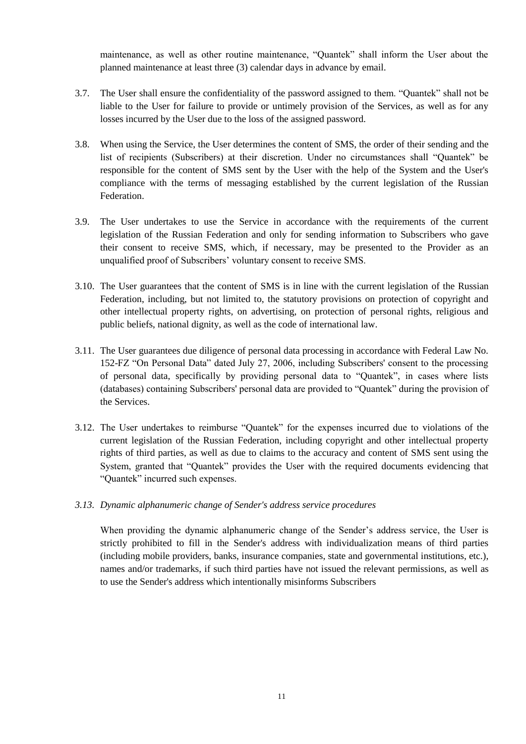maintenance, as well as other routine maintenance, "Quantek" shall inform the User about the planned maintenance at least three (3) calendar days in advance by email.

- 3.7. The User shall ensure the confidentiality of the password assigned to them. "Quantek" shall not be liable to the User for failure to provide or untimely provision of the Services, as well as for any losses incurred by the User due to the loss of the assigned password.
- 3.8. When using the Service, the User determines the content of SMS, the order of their sending and the list of recipients (Subscribers) at their discretion. Under no circumstances shall "Quantek" be responsible for the content of SMS sent by the User with the help of the System and the User's compliance with the terms of messaging established by the current legislation of the Russian Federation.
- 3.9. The User undertakes to use the Service in accordance with the requirements of the current legislation of the Russian Federation and only for sending information to Subscribers who gave their consent to receive SMS, which, if necessary, may be presented to the Provider as an unqualified proof of Subscribers' voluntary consent to receive SMS.
- 3.10. The User guarantees that the content of SMS is in line with the current legislation of the Russian Federation, including, but not limited to, the statutory provisions on protection of copyright and other intellectual property rights, on advertising, on protection of personal rights, religious and public beliefs, national dignity, as well as the code of international law.
- 3.11. The User guarantees due diligence of personal data processing in accordance with Federal Law No. 152-FZ "On Personal Data" dated July 27, 2006, including Subscribers' consent to the processing of personal data, specifically by providing personal data to "Quantek", in cases where lists (databases) containing Subscribers' personal data are provided to "Quantek" during the provision of the Services.
- 3.12. The User undertakes to reimburse "Quantek" for the expenses incurred due to violations of the current legislation of the Russian Federation, including copyright and other intellectual property rights of third parties, as well as due to claims to the accuracy and content of SMS sent using the System, granted that "Quantek" provides the User with the required documents evidencing that "Quantek" incurred such expenses.
- *3.13. Dynamic alphanumeric change of Sender's address service procedures*

When providing the dynamic alphanumeric change of the Sender's address service, the User is strictly prohibited to fill in the Sender's address with individualization means of third parties (including mobile providers, banks, insurance companies, state and governmental institutions, etc.), names and/or trademarks, if such third parties have not issued the relevant permissions, as well as to use the Sender's address which intentionally misinforms Subscribers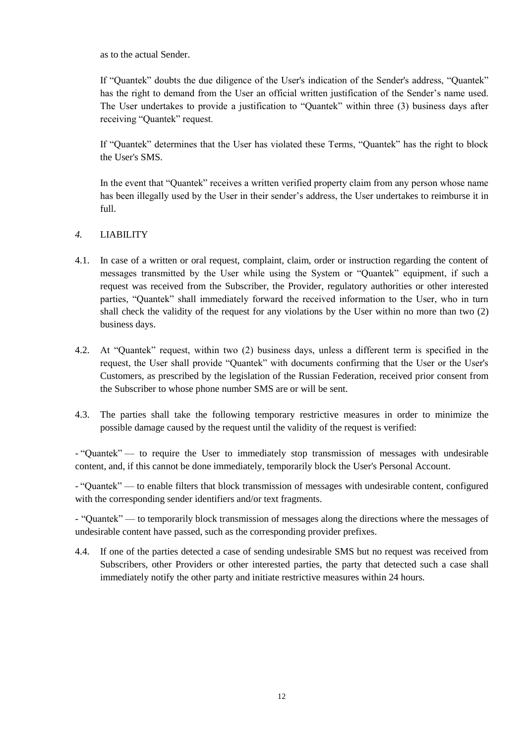as to the actual Sender.

If "Quantek" doubts the due diligence of the User's indication of the Sender's address, "Quantek" has the right to demand from the User an official written justification of the Sender's name used. The User undertakes to provide a justification to "Quantek" within three (3) business days after receiving "Quantek" request.

If "Quantek" determines that the User has violated these Terms, "Quantek" has the right to block the User's SMS.

In the event that "Quantek" receives a written verified property claim from any person whose name has been illegally used by the User in their sender's address, the User undertakes to reimburse it in full.

# *4.* LIABILITY

- 4.1. In case of a written or oral request, complaint, claim, order or instruction regarding the content of messages transmitted by the User while using the System or "Quantek" equipment, if such a request was received from the Subscriber, the Provider, regulatory authorities or other interested parties, "Quantek" shall immediately forward the received information to the User, who in turn shall check the validity of the request for any violations by the User within no more than two (2) business days.
- 4.2. At "Quantek" request, within two (2) business days, unless a different term is specified in the request, the User shall provide "Quantek" with documents confirming that the User or the User's Customers, as prescribed by the legislation of the Russian Federation, received prior consent from the Subscriber to whose phone number SMS are or will be sent.
- 4.3. The parties shall take the following temporary restrictive measures in order to minimize the possible damage caused by the request until the validity of the request is verified:

- "Quantek" — to require the User to immediately stop transmission of messages with undesirable content, and, if this cannot be done immediately, temporarily block the User's Personal Account.

- "Quantek" — to enable filters that block transmission of messages with undesirable content, configured with the corresponding sender identifiers and/or text fragments.

- "Quantek" — to temporarily block transmission of messages along the directions where the messages of undesirable content have passed, such as the corresponding provider prefixes.

4.4. If one of the parties detected a case of sending undesirable SMS but no request was received from Subscribers, other Providers or other interested parties, the party that detected such a case shall immediately notify the other party and initiate restrictive measures within 24 hours.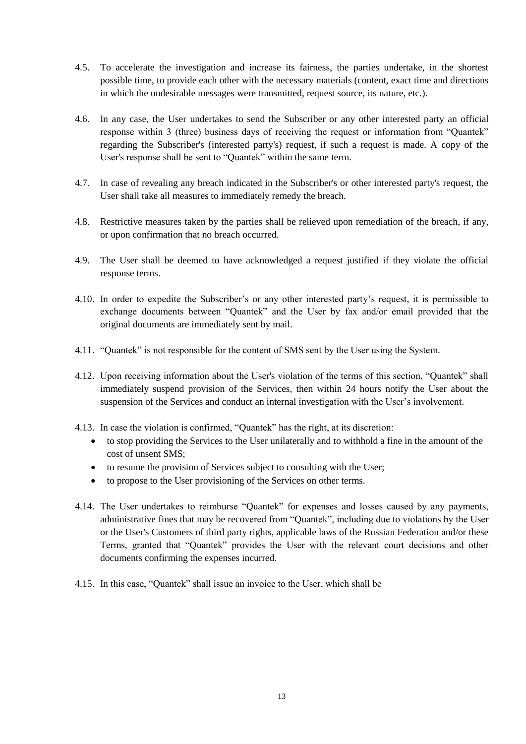- 4.5. To accelerate the investigation and increase its fairness, the parties undertake, in the shortest possible time, to provide each other with the necessary materials (content, exact time and directions in which the undesirable messages were transmitted, request source, its nature, etc.).
- 4.6. In any case, the User undertakes to send the Subscriber or any other interested party an official response within 3 (three) business days of receiving the request or information from "Quantek" regarding the Subscriber's (interested party's) request, if such a request is made. A copy of the User's response shall be sent to "Quantek" within the same term.
- 4.7. In case of revealing any breach indicated in the Subscriber's or other interested party's request, the User shall take all measures to immediately remedy the breach.
- 4.8. Restrictive measures taken by the parties shall be relieved upon remediation of the breach, if any, or upon confirmation that no breach occurred.
- 4.9. The User shall be deemed to have acknowledged a request justified if they violate the official response terms.
- 4.10. In order to expedite the Subscriber's or any other interested party's request, it is permissible to exchange documents between "Quantek" and the User by fax and/or email provided that the original documents are immediately sent by mail.
- 4.11. "Quantek" is not responsible for the content of SMS sent by the User using the System.
- 4.12. Upon receiving information about the User's violation of the terms of this section, "Quantek" shall immediately suspend provision of the Services, then within 24 hours notify the User about the suspension of the Services and conduct an internal investigation with the User's involvement.
- 4.13. In case the violation is confirmed, "Quantek" has the right, at its discretion:
	- to stop providing the Services to the User unilaterally and to withhold a fine in the amount of the cost of unsent SMS;
	- to resume the provision of Services subject to consulting with the User;
	- to propose to the User provisioning of the Services on other terms.
- 4.14. The User undertakes to reimburse "Quantek" for expenses and losses caused by any payments, administrative fines that may be recovered from "Quantek", including due to violations by the User or the User's Customers of third party rights, applicable laws of the Russian Federation and/or these Terms, granted that "Quantek" provides the User with the relevant court decisions and other documents confirming the expenses incurred.
- 4.15. In this case, "Quantek" shall issue an invoice to the User, which shall be